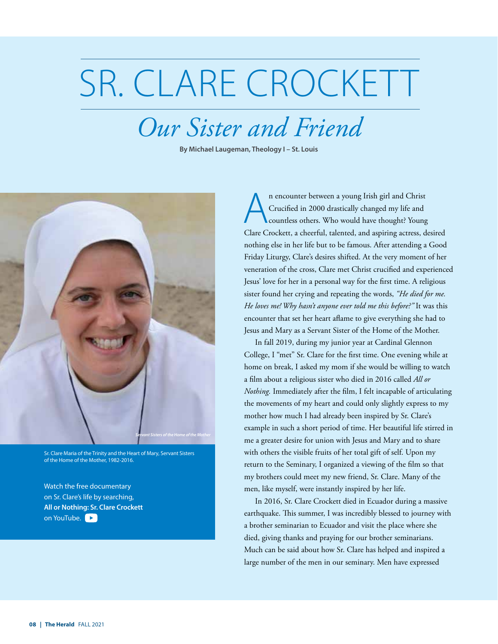## SR. CLARE CROCKETT

## *Our Sister and Friend*

**By Michael Laugeman, Theology I – St. Louis**



Sr. Clare Maria of the Trinity and the Heart of Mary, Servant Sisters of the Home of the Mother, 1982-2016.

Watch the free documentary on Sr. Clare's life by searching, **[All or Nothing: Sr. Clare Crockett](https://www.youtube.com/watch?v=dL565Cwmg9o)** on YouTube.

n encounter between a young Irish girl and Christ Crucified in 2000 drastically changed my life and countless others. Who would have thought? Young Clare Crockett, a cheerful, talented, and aspiring actress, desired nothing else in her life but to be famous. After attending a Good Friday Liturgy, Clare's desires shifted. At the very moment of her veneration of the cross, Clare met Christ crucified and experienced Jesus' love for her in a personal way for the first time. A religious sister found her crying and repeating the words, *"He died for me. He loves me! Why hasn't anyone ever told me this before?"* It was this encounter that set her heart aflame to give everything she had to Jesus and Mary as a Servant Sister of the Home of the Mother.

In fall 2019, during my junior year at Cardinal Glennon College, I "met" Sr. Clare for the first time. One evening while at home on break, I asked my mom if she would be willing to watch a film about a religious sister who died in 2016 called *All or Nothing.* Immediately after the film, I felt incapable of articulating the movements of my heart and could only slightly express to my mother how much I had already been inspired by Sr. Clare's example in such a short period of time. Her beautiful life stirred in me a greater desire for union with Jesus and Mary and to share with others the visible fruits of her total gift of self. Upon my return to the Seminary, I organized a viewing of the film so that my brothers could meet my new friend, Sr. Clare. Many of the men, like myself, were instantly inspired by her life.

In 2016, Sr. Clare Crockett died in Ecuador during a massive earthquake. This summer, I was incredibly blessed to journey with a brother seminarian to Ecuador and visit the place where she died, giving thanks and praying for our brother seminarians. Much can be said about how Sr. Clare has helped and inspired a large number of the men in our seminary. Men have expressed